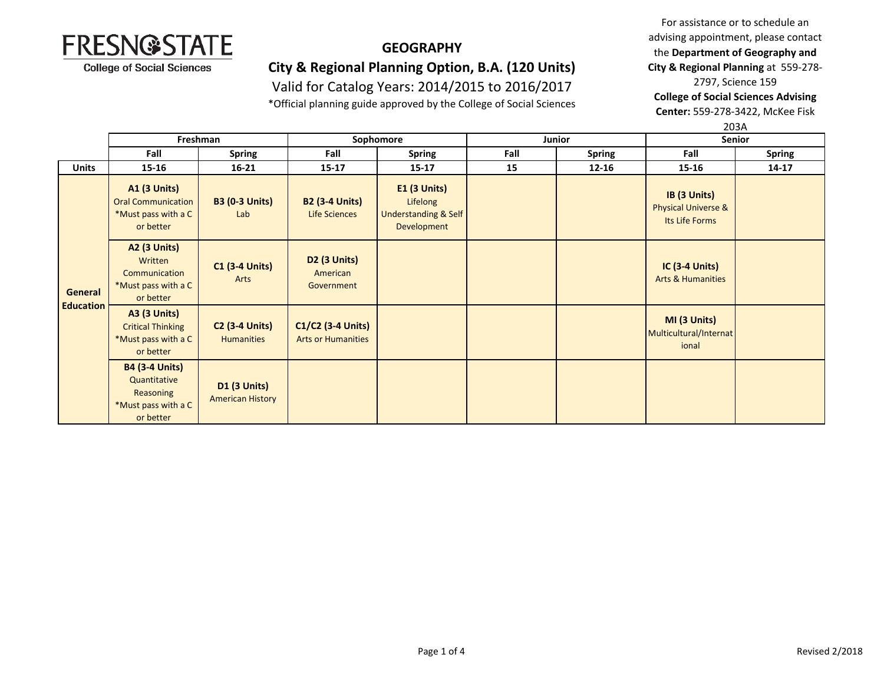

### **GEOGRAPHY**

## **City & Regional Planning Option, B.A. (120 Units)**

Valid for Catalog Years: 2014/2015 to 2016/2017

\*Official planning guide approved by the College of Social Sciences

For assistance or to schedule an advising appointment, please contact the **Department of Geography and City & Regional Planning** at 559-278- 2797, Science 159

**College of Social Sciences Advising** 

**Center:** 559-278-3422, McKee Fisk

|                                    |                                                                                        |                                                |                                                |                                                                              |        |               | 203A                                                             |               |
|------------------------------------|----------------------------------------------------------------------------------------|------------------------------------------------|------------------------------------------------|------------------------------------------------------------------------------|--------|---------------|------------------------------------------------------------------|---------------|
|                                    | Freshman                                                                               |                                                | Sophomore                                      |                                                                              | Junior |               | Senior                                                           |               |
|                                    | Fall                                                                                   | <b>Spring</b>                                  | Fall                                           | <b>Spring</b>                                                                | Fall   | <b>Spring</b> | Fall                                                             | <b>Spring</b> |
| <b>Units</b>                       | $15 - 16$                                                                              | $16 - 21$                                      | $15 - 17$                                      | $15 - 17$                                                                    | 15     | $12 - 16$     | 15-16                                                            | 14-17         |
| <b>General</b><br><b>Education</b> | <b>A1 (3 Units)</b><br><b>Oral Communication</b><br>*Must pass with a C<br>or better   | <b>B3 (0-3 Units)</b><br>Lab                   | <b>B2 (3-4 Units)</b><br>Life Sciences         | $E1$ (3 Units)<br>Lifelong<br><b>Understanding &amp; Self</b><br>Development |        |               | IB (3 Units)<br><b>Physical Universe &amp;</b><br>Its Life Forms |               |
|                                    | <b>A2 (3 Units)</b><br>Written<br>Communication<br>*Must pass with a C<br>or better    | <b>C1 (3-4 Units)</b><br>Arts                  | <b>D2 (3 Units)</b><br>American<br>Government  |                                                                              |        |               | <b>IC (3-4 Units)</b><br><b>Arts &amp; Humanities</b>            |               |
|                                    | <b>A3 (3 Units)</b><br><b>Critical Thinking</b><br>*Must pass with a C<br>or better    | <b>C2 (3-4 Units)</b><br><b>Humanities</b>     | C1/C2 (3-4 Units)<br><b>Arts or Humanities</b> |                                                                              |        |               | MI (3 Units)<br>Multicultural/Internat<br>ional                  |               |
|                                    | <b>B4 (3-4 Units)</b><br>Quantitative<br>Reasoning<br>*Must pass with a C<br>or better | <b>D1 (3 Units)</b><br><b>American History</b> |                                                |                                                                              |        |               |                                                                  |               |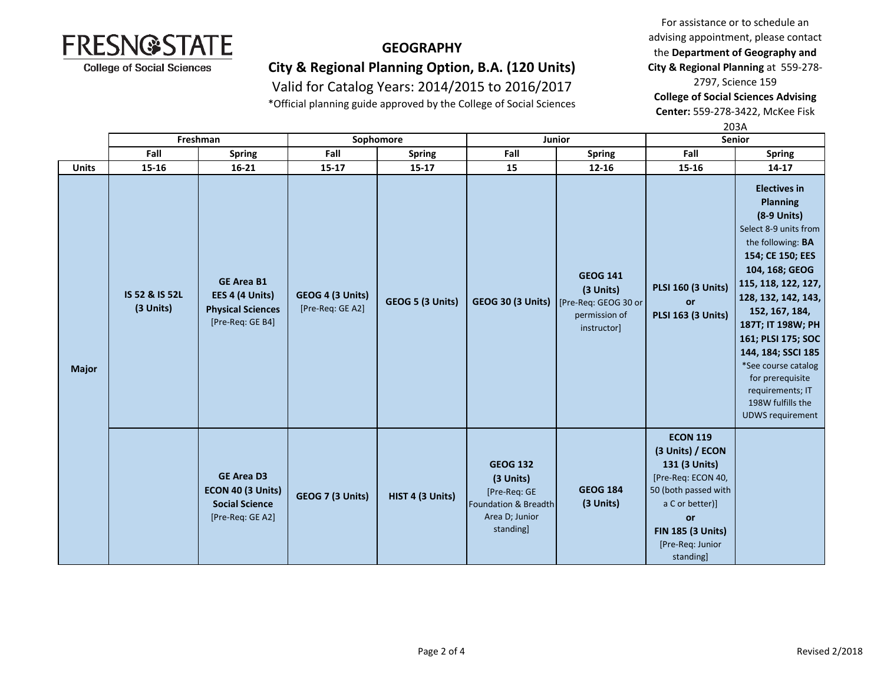

### **GEOGRAPHY**

**City & Regional Planning Option, B.A. (120 Units)**

Valid for Catalog Years: 2014/2015 to 2016/2017

\*Official planning guide approved by the College of Social Sciences

For assistance or to schedule an advising appointment, please contact the **Department of Geography and City & Regional Planning** at 559-278- 2797, Science 159 **College of Social Sciences Advising** 

**Center:** 559-278-3422, McKee Fisk  $202A$ 

|              | Freshman                    |                                                                                      | Sophomore                            |                  | Junior                                                                                                         |                                                                                      | ZUSA<br>Senior                                                                                                                                                                           |                                                                                                                                                                                                                                                                                                                                                                                           |
|--------------|-----------------------------|--------------------------------------------------------------------------------------|--------------------------------------|------------------|----------------------------------------------------------------------------------------------------------------|--------------------------------------------------------------------------------------|------------------------------------------------------------------------------------------------------------------------------------------------------------------------------------------|-------------------------------------------------------------------------------------------------------------------------------------------------------------------------------------------------------------------------------------------------------------------------------------------------------------------------------------------------------------------------------------------|
|              | Fall                        | <b>Spring</b>                                                                        | Fall                                 | <b>Spring</b>    | Fall                                                                                                           | <b>Spring</b>                                                                        | Fall                                                                                                                                                                                     | <b>Spring</b>                                                                                                                                                                                                                                                                                                                                                                             |
| <b>Units</b> | 15-16                       | $16 - 21$                                                                            | $15 - 17$                            | $15 - 17$        | 15                                                                                                             | $12 - 16$                                                                            | 15-16                                                                                                                                                                                    | $14 - 17$                                                                                                                                                                                                                                                                                                                                                                                 |
| <b>Major</b> | IS 52 & IS 52L<br>(3 Units) | <b>GE Area B1</b><br>EES 4 (4 Units)<br><b>Physical Sciences</b><br>[Pre-Req: GE B4] | GEOG 4 (3 Units)<br>[Pre-Req: GE A2] | GEOG 5 (3 Units) | <b>GEOG 30 (3 Units)</b>                                                                                       | <b>GEOG 141</b><br>(3 Units)<br>[Pre-Req: GEOG 30 or<br>permission of<br>instructor] | <b>PLSI 160 (3 Units)</b><br><b>or</b><br><b>PLSI 163 (3 Units)</b>                                                                                                                      | <b>Electives in</b><br><b>Planning</b><br>(8-9 Units)<br>Select 8-9 units from<br>the following: BA<br>154; CE 150; EES<br>104, 168; GEOG<br>115, 118, 122, 127,<br>128, 132, 142, 143,<br>152, 167, 184,<br>187T; IT 198W; PH<br>161; PLSI 175; SOC<br>144, 184; SSCI 185<br>*See course catalog<br>for prerequisite<br>requirements; IT<br>198W fulfills the<br><b>UDWS requirement</b> |
|              |                             | <b>GE Area D3</b><br>ECON 40 (3 Units)<br><b>Social Science</b><br>[Pre-Req: GE A2]  | GEOG 7 (3 Units)                     | HIST 4 (3 Units) | <b>GEOG 132</b><br>(3 Units)<br>[Pre-Req: GE<br><b>Foundation &amp; Breadth</b><br>Area D; Junior<br>standing] | <b>GEOG 184</b><br>(3 Units)                                                         | <b>ECON 119</b><br>(3 Units) / ECON<br>131 (3 Units)<br>[Pre-Req: ECON 40,<br>50 (both passed with<br>a C or better)]<br>or<br><b>FIN 185 (3 Units)</b><br>[Pre-Req: Junior<br>standing] |                                                                                                                                                                                                                                                                                                                                                                                           |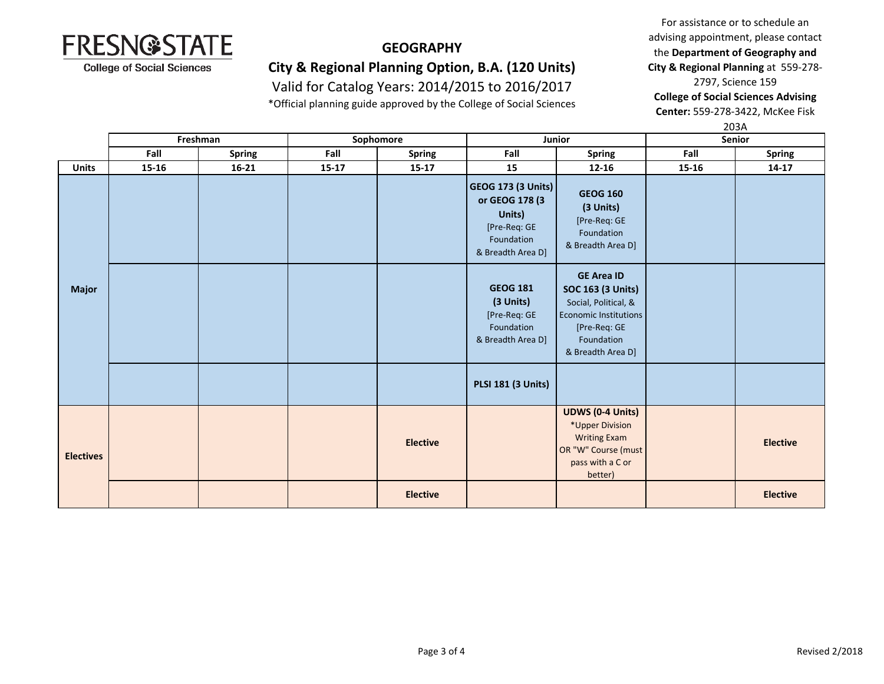

### **GEOGRAPHY**

## **City & Regional Planning Option, B.A. (120 Units)**

Valid for Catalog Years: 2014/2015 to 2016/2017

\*Official planning guide approved by the College of Social Sciences

For assistance or to schedule an advising appointment, please contact the **Department of Geography and City & Regional Planning** at 559-278- 2797, Science 159 **College of Social Sciences Advising** 

**Center:** 559-278-3422, McKee Fisk

|                  |          |               |           |                 |                                                                                                   |                                                                                                                                                          |        | 203A            |  |
|------------------|----------|---------------|-----------|-----------------|---------------------------------------------------------------------------------------------------|----------------------------------------------------------------------------------------------------------------------------------------------------------|--------|-----------------|--|
|                  | Freshman |               | Sophomore |                 | Junior                                                                                            |                                                                                                                                                          | Senior |                 |  |
|                  | Fall     | <b>Spring</b> | Fall      | <b>Spring</b>   | Fall                                                                                              | <b>Spring</b>                                                                                                                                            | Fall   | <b>Spring</b>   |  |
| <b>Units</b>     | 15-16    | $16 - 21$     | $15 - 17$ | $15 - 17$       | 15                                                                                                | $12 - 16$                                                                                                                                                | 15-16  | $14 - 17$       |  |
| <b>Major</b>     |          |               |           |                 | GEOG 173 (3 Units)<br>or GEOG 178 (3<br>Units)<br>[Pre-Req: GE<br>Foundation<br>& Breadth Area D] | <b>GEOG 160</b><br>(3 Units)<br>[Pre-Req: GE<br>Foundation<br>& Breadth Area D]                                                                          |        |                 |  |
|                  |          |               |           |                 | <b>GEOG 181</b><br>(3 Units)<br>[Pre-Req: GE<br>Foundation<br>& Breadth Area D]                   | <b>GE Area ID</b><br><b>SOC 163 (3 Units)</b><br>Social, Political, &<br><b>Economic Institutions</b><br>[Pre-Req: GE<br>Foundation<br>& Breadth Area D] |        |                 |  |
|                  |          |               |           |                 | <b>PLSI 181 (3 Units)</b>                                                                         |                                                                                                                                                          |        |                 |  |
| <b>Electives</b> |          |               |           | <b>Elective</b> |                                                                                                   | <b>UDWS (0-4 Units)</b><br>*Upper Division<br><b>Writing Exam</b><br>OR "W" Course (must<br>pass with a C or<br>better)                                  |        | <b>Elective</b> |  |
|                  |          |               |           | <b>Elective</b> |                                                                                                   |                                                                                                                                                          |        | <b>Elective</b> |  |